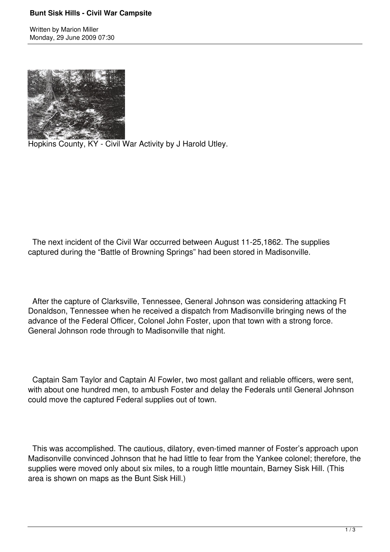## **Bunt Sisk Hills - Civil War Campsite**

Written by Marion Miller Monday, 29 June 2009 07:30



Hopkins County, KY - Civil War Activity by J Harold Utley.

 The next incident of the Civil War occurred between August 11-25,1862. The supplies captured during the "Battle of Browning Springs" had been stored in Madisonville.

 After the capture of Clarksville, Tennessee, General Johnson was considering attacking Ft Donaldson, Tennessee when he received a dispatch from Madisonville bringing news of the advance of the Federal Officer, Colonel John Foster, upon that town with a strong force. General Johnson rode through to Madisonville that night.

 Captain Sam Taylor and Captain Al Fowler, two most gallant and reliable officers, were sent, with about one hundred men, to ambush Foster and delay the Federals until General Johnson could move the captured Federal supplies out of town.

 This was accomplished. The cautious, dilatory, even-timed manner of Foster's approach upon Madisonville convinced Johnson that he had little to fear from the Yankee colonel; therefore, the supplies were moved only about six miles, to a rough little mountain, Barney Sisk Hill. (This area is shown on maps as the Bunt Sisk Hill.)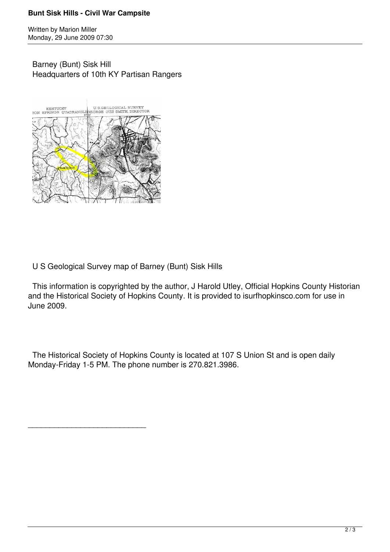## **Bunt Sisk Hills - Civil War Campsite**

Written by Marion Miller Monday, 29 June 2009 07:30

 Barney (Bunt) Sisk Hill Headquarters of 10th KY Partisan Rangers



\_\_\_\_\_\_\_\_\_\_\_\_\_\_\_\_\_\_\_\_\_\_\_\_\_\_\_

U S Geological Survey map of Barney (Bunt) Sisk Hills

 This information is copyrighted by the author, J Harold Utley, Official Hopkins County Historian and the Historical Society of Hopkins County. It is provided to isurfhopkinsco.com for use in June 2009.

 The Historical Society of Hopkins County is located at 107 S Union St and is open daily Monday-Friday 1-5 PM. The phone number is 270.821.3986.